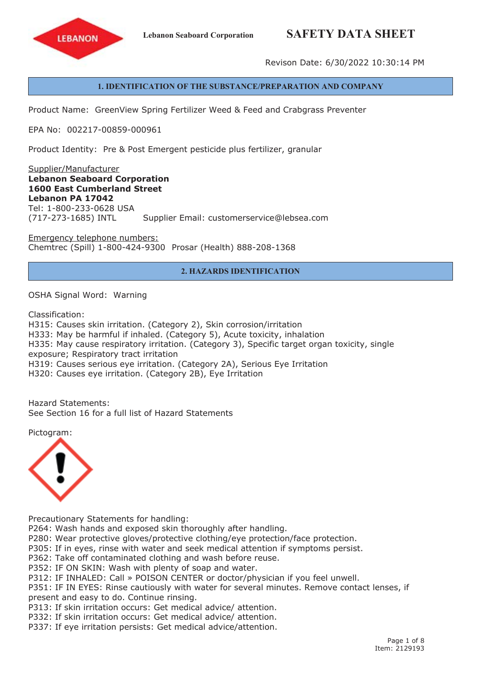# **Lebanon Seaboard Corporation SAFETY DATA SHEET**



Revison Date: 6/30/2022 10:30:14 PM

## **1. IDENTIFICATION OF THE SUBSTANCE/PREPARATION AND COMPANY**

Product Name: GreenView Spring Fertilizer Weed & Feed and Crabgrass Preventer

EPA No: 002217-00859-000961

Product Identity: Pre & Post Emergent pesticide plus fertilizer, granular

Supplier/Manufacturer **Lebanon Seaboard Corporation 1600 East Cumberland Street Lebanon PA 17042** Tel: 1-800-233-0628 USA (717-273-1685) INTL Supplier Email: customerservice@lebsea.com

Emergency telephone numbers: Chemtrec (Spill) 1-800-424-9300 Prosar (Health) 888-208-1368

## **2. HAZARDS IDENTIFICATION**

OSHA Signal Word: Warning

Classification:

H315: Causes skin irritation. (Category 2), Skin corrosion/irritation H333: May be harmful if inhaled. (Category 5), Acute toxicity, inhalation H335: May cause respiratory irritation. (Category 3), Specific target organ toxicity, single exposure; Respiratory tract irritation H319: Causes serious eye irritation. (Category 2A), Serious Eye Irritation H320: Causes eye irritation. (Category 2B), Eye Irritation

Hazard Statements: See Section 16 for a full list of Hazard Statements

Pictogram:



Precautionary Statements for handling:

P264: Wash hands and exposed skin thoroughly after handling.

P280: Wear protective gloves/protective clothing/eye protection/face protection.

P305: If in eyes, rinse with water and seek medical attention if symptoms persist.

P362: Take off contaminated clothing and wash before reuse.

P352: IF ON SKIN: Wash with plenty of soap and water.

P312: IF INHALED: Call » POISON CENTER or doctor/physician if you feel unwell.

P351: IF IN EYES: Rinse cautiously with water for several minutes. Remove contact lenses, if present and easy to do. Continue rinsing.

P313: If skin irritation occurs: Get medical advice/ attention.

P332: If skin irritation occurs: Get medical advice/ attention.

P337: If eye irritation persists: Get medical advice/attention.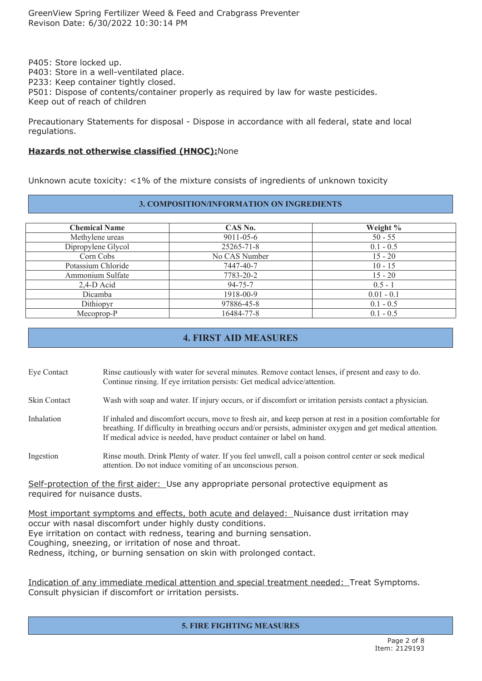P405: Store locked up. P403: Store in <sup>a</sup> well-ventilated place. P233: Keep container tightly closed. P501: Dispose of contents/container properly as required by law for waste pesticides. Keep out of reach of children

Precautionary Statements for disposal - Dispose in accordance with all federal, state and local regulations.

## **Hazards not otherwise classified (HNOC):**None

Unknown acute toxicity: <1% of the mixture consists of ingredients of unknown toxicity

#### **3. COMPOSITION/INFORMATION ON INGREDIENTS**

| <b>Chemical Name</b> | CAS No.         | Weight %     |
|----------------------|-----------------|--------------|
| Methylene ureas      | $9011 - 05 - 6$ | $50 - 55$    |
| Dipropylene Glycol   | 25265-71-8      | $0.1 - 0.5$  |
| Corn Cobs            | No CAS Number   | $15 - 20$    |
| Potassium Chloride   | 7447-40-7       | $10 - 15$    |
| Ammonium Sulfate     | 7783-20-2       | $15 - 20$    |
| $2,4-D$ Acid         | $94 - 75 - 7$   | $0.5 - 1$    |
| Dicamba              | 1918-00-9       | $0.01 - 0.1$ |
| Dithiopyr            | 97886-45-8      | $0.1 - 0.5$  |
| Mecoprop-P           | 16484-77-8      | $0.1 - 0.5$  |

# **4. FIRST AID MEASURES**

- Eye Contact Rinse cautiously with water for several minutes. Remove contact lenses, if presen<sup>t</sup> and easy to do. Continue rinsing. If eye irritation persists: Get medical advice/attention.
- Skin Contact Wash with soap and water. If injury occurs, or if discomfort or irritation persists contact <sup>a</sup> physician.
- Inhalation If inhaled and discomfort occurs, move to fresh air, and keep person at rest in <sup>a</sup> position comfortable for breathing. If difficulty in breathing occurs and/or persists, administer oxygen and ge<sup>t</sup> medical attention. If medical advice is needed, have product container or label on hand.
- Ingestion Rinse mouth. Drink Plenty of water. If you feel unwell, call <sup>a</sup> poison control center or seek medical attention. Do not induce vomiting of an unconscious person.

Self-protection of the first aider: Use any appropriate personal protective equipment as required for nuisance dusts.

Most important symptoms and effects, both acute and delayed: Nuisance dust irritation may occur with nasal discomfort under highly dusty conditions. Eye irritation on contact with redness, tearing and burning sensation. Coughing, sneezing, or irritation of nose and throat. Redness, itching, or burning sensation on skin with prolonged contact.

Indication of any immediate medical attention and special treatment needed: Treat Symptoms. Consult physician if discomfort or irritation persists.

#### **5. FIRE FIGHTING MEASURES**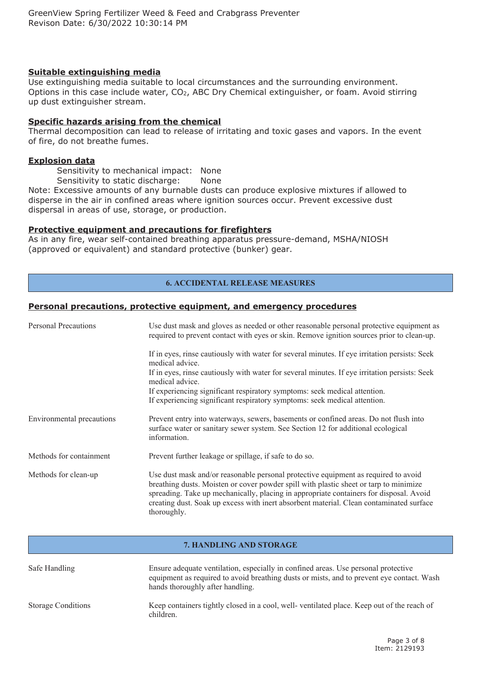## **Suitable extinguishing media**

Use extinguishing media suitable to local circumstances and the surrounding environment. Options in this case include water, CO<sub>2</sub>, ABC Dry Chemical extinguisher, or foam. Avoid stirring up dust extinguisher stream.

#### **Specific hazards arising from the chemical**

Thermal decomposition can lead to release of irritating and toxic gases and vapors. In the event of fire, do not breathe fumes.

#### **Explosion data**

Sensitivity to mechanical impact: None Sensitivity to static discharge: None

Note: Excessive amounts of any burnable dusts can produce explosive mixtures if allowed to disperse in the air in confined areas where ignition sources occur. Prevent excessive dust dispersal in areas of use, storage, or production.

## **Protective equipment and precautions for firefighters**

As in any fire, wear self-contained breathing apparatus pressure-demand, MSHA/NIOSH (approved or equivalent) and standard protective (bunker) gear.

# **6. ACCIDENTAL RELEASE MEASURES**

#### **Personal precautions, protective equipment, and emergency procedures**

| <b>Personal Precautions</b> | Use dust mask and gloves as needed or other reasonable personal protective equipment as<br>required to prevent contact with eyes or skin. Remove ignition sources prior to clean-up.                                                                                                                                                                                            |
|-----------------------------|---------------------------------------------------------------------------------------------------------------------------------------------------------------------------------------------------------------------------------------------------------------------------------------------------------------------------------------------------------------------------------|
|                             | If in eyes, rinse cautiously with water for several minutes. If eye irritation persists: Seek<br>medical advice.                                                                                                                                                                                                                                                                |
|                             | If in eyes, rinse cautiously with water for several minutes. If eye irritation persists: Seek<br>medical advice.                                                                                                                                                                                                                                                                |
|                             | If experiencing significant respiratory symptoms: seek medical attention.<br>If experiencing significant respiratory symptoms: seek medical attention.                                                                                                                                                                                                                          |
| Environmental precautions   | Prevent entry into waterways, sewers, basements or confined areas. Do not flush into<br>surface water or sanitary sewer system. See Section 12 for additional ecological<br>information.                                                                                                                                                                                        |
| Methods for containment     | Prevent further leakage or spillage, if safe to do so.                                                                                                                                                                                                                                                                                                                          |
| Methods for clean-up        | Use dust mask and/or reasonable personal protective equipment as required to avoid<br>breathing dusts. Moisten or cover powder spill with plastic sheet or tarp to minimize<br>spreading. Take up mechanically, placing in appropriate containers for disposal. Avoid<br>creating dust. Soak up excess with inert absorbent material. Clean contaminated surface<br>thoroughly. |

#### **7. HANDLING AND STORAGE**

| Safe Handling             | Ensure adequate ventilation, especially in confined areas. Use personal protective<br>equipment as required to avoid breathing dusts or mists, and to prevent eye contact. Wash<br>hands thoroughly after handling. |
|---------------------------|---------------------------------------------------------------------------------------------------------------------------------------------------------------------------------------------------------------------|
| <b>Storage Conditions</b> | Keep containers tightly closed in a cool, well-ventilated place. Keep out of the reach of<br>children.                                                                                                              |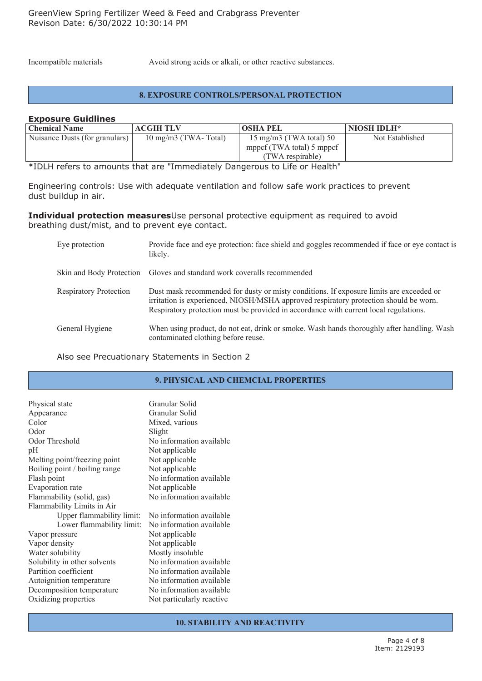Incompatible materials Avoid strong acids or alkali, or other reactive substances.

#### **8. EXPOSURE CONTROLS/PERSONAL PROTECTION**

#### **Exposure Guidlines**

| <b>Chemical Name</b>           | <b>ACGIH TLV</b>              | <b>OSHA PEL</b>           | NIOSH IDLH*     |
|--------------------------------|-------------------------------|---------------------------|-----------------|
| Nuisance Dusts (for granulars) | $10 \text{ mg/m}$ (TWA-Total) | 15 mg/m3 (TWA total) 50   | Not Established |
|                                |                               | mppcf (TWA total) 5 mppcf |                 |
|                                |                               | (TWA respirable)          |                 |

\*IDLH refers to amounts that are "Immediately Dangerous to Life or Health"

Engineering controls: Use with adequate ventilation and follow safe work practices to prevent dust buildup in air.

#### **Individual protection measures**Use personal protective equipment as required to avoid breathing dust/mist, and to prevent eye contact.

| Eye protection                | Provide face and eye protection: face shield and goggles recommended if face or eye contact is<br>likely.                                                                                                                                                                 |
|-------------------------------|---------------------------------------------------------------------------------------------------------------------------------------------------------------------------------------------------------------------------------------------------------------------------|
|                               | Skin and Body Protection Gloves and standard work coveralls recommended                                                                                                                                                                                                   |
| <b>Respiratory Protection</b> | Dust mask recommended for dusty or misty conditions. If exposure limits are exceeded or<br>irritation is experienced, NIOSH/MSHA approved respiratory protection should be worn.<br>Respiratory protection must be provided in accordance with current local regulations. |
| General Hygiene               | When using product, do not eat, drink or smoke. Wash hands thoroughly after handling. Wash<br>contaminated clothing before reuse.                                                                                                                                         |

Also see Precuationary Statements in Section 2

# **9. PHYSICAL AND CHEMCIAL PROPERTIES**

| Physical state<br>Appearance     | Granular Solid<br>Granular Solid |
|----------------------------------|----------------------------------|
| Color                            | Mixed, various                   |
| Odor                             | Slight                           |
| Odor Threshold                   | No information available         |
| pH                               | Not applicable                   |
| Melting point/freezing point     | Not applicable                   |
| Boiling point / boiling range    | Not applicable                   |
| Flash point                      | No information available         |
| Evaporation rate                 | Not applicable                   |
| Flammability (solid, gas)        | No information available         |
| Flammability Limits in Air       |                                  |
| <b>Upper flammability limit:</b> | No information available         |
| Lower flammability limit:        | No information available         |
| Vapor pressure                   | Not applicable                   |
| Vapor density                    | Not applicable                   |
| Water solubility                 | Mostly insoluble                 |
| Solubility in other solvents     | No information available         |
| Partition coefficient            | No information available         |
| Autoignition temperature         | No information available         |
| Decomposition temperature        | No information available         |
| Oxidizing properties             | Not particularly reactive        |
|                                  |                                  |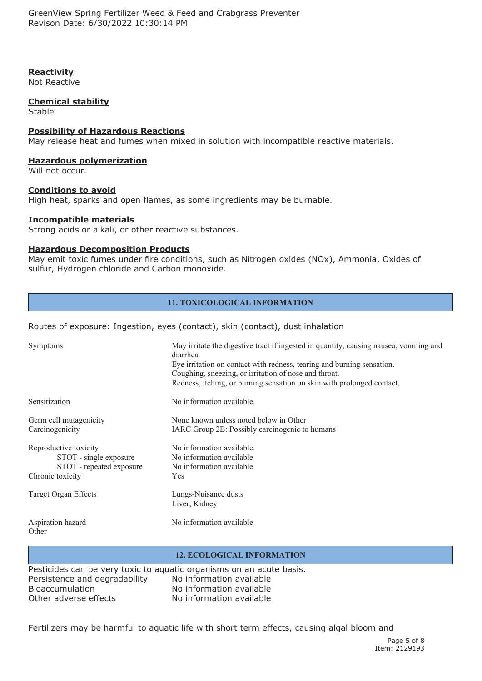GreenView Spring Fertilizer Weed & Feed and Crabgrass Preventer Revison Date: 6/30/2022 10:30:14 PM

## **Reactivity**

Not Reactive

## **Chemical stability**

Stable

#### **Possibility of Hazardous Reactions**

May release heat and fumes when mixed in solution with incompatible reactive materials.

## **Hazardous polymerization**

Will not occur.

## **Conditions to avoid**

High heat, sparks and open flames, as some ingredients may be burnable.

## **Incompatible materials**

Strong acids or alkali, or other reactive substances.

#### **Hazardous Decomposition Products**

May emit toxic fumes under fire conditions, such as Nitrogen oxides (NOx), Ammonia, Oxides of sulfur, Hydrogen chloride and Carbon monoxide.

# **11. TOXICOLOGICAL INFORMATION**

## Routes of exposure: Ingestion, eyes (contact), skin (contact), dust inhalation

| Symptoms                                                                                        | May irritate the digestive tract if ingested in quantity, causing nausea, vomiting and<br>diarrhea.<br>Eye irritation on contact with redness, tearing and burning sensation.<br>Coughing, sneezing, or irritation of nose and throat.<br>Redness, itching, or burning sensation on skin with prolonged contact. |
|-------------------------------------------------------------------------------------------------|------------------------------------------------------------------------------------------------------------------------------------------------------------------------------------------------------------------------------------------------------------------------------------------------------------------|
| Sensitization                                                                                   | No information available.                                                                                                                                                                                                                                                                                        |
| Germ cell mutagenicity<br>Carcinogenicity                                                       | None known unless noted below in Other<br>IARC Group 2B: Possibly carcinogenic to humans                                                                                                                                                                                                                         |
| Reproductive toxicity<br>STOT - single exposure<br>STOT - repeated exposure<br>Chronic toxicity | No information available.<br>No information available<br>No information available<br>Yes                                                                                                                                                                                                                         |
| Target Organ Effects                                                                            | Lungs-Nuisance dusts<br>Liver, Kidney                                                                                                                                                                                                                                                                            |
| Aspiration hazard<br>Other                                                                      | No information available                                                                                                                                                                                                                                                                                         |

# **12. ECOLOGICAL INFORMATION**

Pesticides can be very toxic to aquatic organisms on an acute basis. Persistence and degradability No information available Bioaccumulation No information available Other adverse effects No information available

Fertilizers may be harmful to aquatic life with short term effects, causing algal bloom and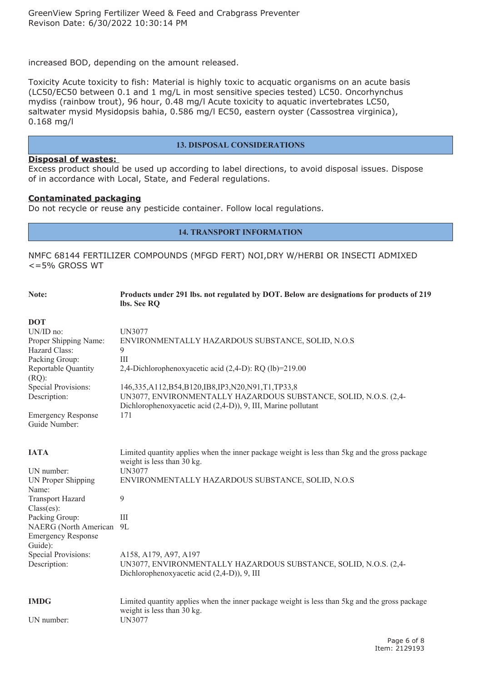increased BOD, depending on the amount released.

Toxicity Acute toxicity to fish: Material is highly toxic to acquatic organisms on an acute basis (LC50/EC50 between 0.1 and 1 mg/L in most sensitive species tested) LC50. Oncorhynchus mydiss (rainbow trout), 96 hour, 0.48 mg/l Acute toxicity to aquatic invertebrates LC50, saltwater mysid Mysidopsis bahia, 0.586 mg/l EC50, eastern oyster (Cassostrea virginica), 0.168 mg/l

## **13. DISPOSAL CONSIDERATIONS**

#### **Disposal of wastes:**

Excess product should be used up according to label directions, to avoid disposal issues. Dispose of in accordance with Local, State, and Federal regulations.

## **Contaminated packaging**

Do not recycle or reuse any pesticide container. Follow local regulations.

## **14. TRANSPORT INFORMATION**

NMFC 68144 FERTILIZER COMPOUNDS (MFGD FERT) NOI,DRY W/HERBI OR INSECTI ADMIXED <=5% GROSS WT

| Note:                                                                              | Products under 291 lbs. not regulated by DOT. Below are designations for products of 219<br>lbs. See RQ                                                                              |
|------------------------------------------------------------------------------------|--------------------------------------------------------------------------------------------------------------------------------------------------------------------------------------|
| <b>DOT</b>                                                                         |                                                                                                                                                                                      |
| UN/ID no:                                                                          | <b>UN3077</b>                                                                                                                                                                        |
| Proper Shipping Name:<br>Hazard Class:                                             | ENVIRONMENTALLY HAZARDOUS SUBSTANCE, SOLID, N.O.S<br>9                                                                                                                               |
| Packing Group:                                                                     | III                                                                                                                                                                                  |
| Reportable Quantity<br>$(RQ)$ :                                                    | 2,4-Dichlorophenoxyacetic acid (2,4-D): RQ (lb)=219.00                                                                                                                               |
| <b>Special Provisions:</b><br>Description:                                         | 146,335,A112,B54,B120,IB8,IP3,N20,N91,T1,TP33,8<br>UN3077, ENVIRONMENTALLY HAZARDOUS SUBSTANCE, SOLID, N.O.S. (2,4-<br>Dichlorophenoxyacetic acid (2,4-D)), 9, III, Marine pollutant |
| <b>Emergency Response</b><br>Guide Number:                                         | 171                                                                                                                                                                                  |
| IATA                                                                               | Limited quantity applies when the inner package weight is less than 5kg and the gross package<br>weight is less than 30 kg.                                                          |
| UN number:                                                                         | <b>UN3077</b>                                                                                                                                                                        |
| <b>UN Proper Shipping</b><br>Name:                                                 | ENVIRONMENTALLY HAZARDOUS SUBSTANCE, SOLID, N.O.S                                                                                                                                    |
| <b>Transport Hazard</b><br>$Class(es)$ :                                           | 9                                                                                                                                                                                    |
| Packing Group:<br>NAERG (North American 9L<br><b>Emergency Response</b><br>Guide): | III                                                                                                                                                                                  |
| <b>Special Provisions:</b><br>Description:                                         | A158, A179, A97, A197<br>UN3077, ENVIRONMENTALLY HAZARDOUS SUBSTANCE, SOLID, N.O.S. (2,4-<br>Dichlorophenoxyacetic acid (2,4-D)), 9, III                                             |
| <b>IMDG</b><br>UN number:                                                          | Limited quantity applies when the inner package weight is less than 5kg and the gross package<br>weight is less than 30 kg.<br><b>UN3077</b>                                         |
|                                                                                    |                                                                                                                                                                                      |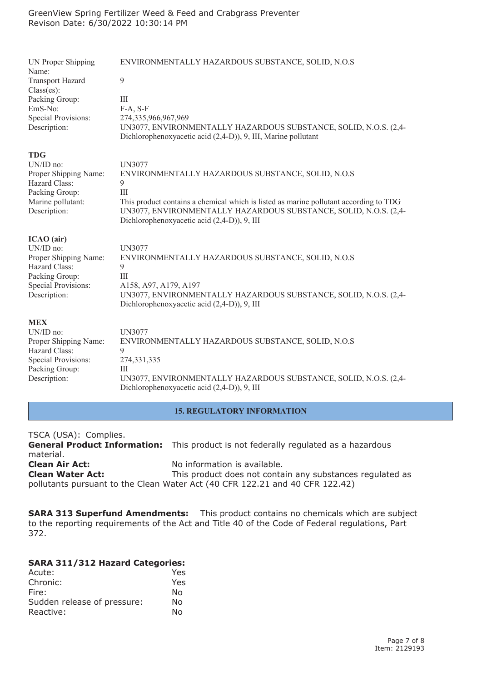| <b>UN Proper Shipping</b><br>Name:<br><b>Transport Hazard</b><br>$Class(es)$ :<br>Packing Group:<br>EmS-No:<br><b>Special Provisions:</b><br>Description: | ENVIRONMENTALLY HAZARDOUS SUBSTANCE, SOLID, N.O.S<br>9<br>III<br>$F-A, S-F$<br>274,335,966,967,969<br>UN3077, ENVIRONMENTALLY HAZARDOUS SUBSTANCE, SOLID, N.O.S. (2,4-<br>Dichlorophenoxyacetic acid (2,4-D)), 9, III, Marine pollutant |
|-----------------------------------------------------------------------------------------------------------------------------------------------------------|-----------------------------------------------------------------------------------------------------------------------------------------------------------------------------------------------------------------------------------------|
| <b>TDG</b>                                                                                                                                                | <b>UN3077</b>                                                                                                                                                                                                                           |
| UN/ID no:                                                                                                                                                 | ENVIRONMENTALLY HAZARDOUS SUBSTANCE, SOLID, N.O.S                                                                                                                                                                                       |
| Proper Shipping Name:                                                                                                                                     | 9                                                                                                                                                                                                                                       |
| Hazard Class:                                                                                                                                             | III                                                                                                                                                                                                                                     |
| Packing Group:                                                                                                                                            | This product contains a chemical which is listed as marine pollutant according to TDG                                                                                                                                                   |
| Marine pollutant:                                                                                                                                         | UN3077, ENVIRONMENTALLY HAZARDOUS SUBSTANCE, SOLID, N.O.S. (2,4-                                                                                                                                                                        |
| Description:                                                                                                                                              | Dichlorophenoxyacetic acid (2,4-D)), 9, III                                                                                                                                                                                             |
| ICAO (air)                                                                                                                                                | <b>UN3077</b>                                                                                                                                                                                                                           |
| UN/ID no:                                                                                                                                                 | ENVIRONMENTALLY HAZARDOUS SUBSTANCE, SOLID, N.O.S                                                                                                                                                                                       |
| Proper Shipping Name:                                                                                                                                     | 9                                                                                                                                                                                                                                       |
| Hazard Class:                                                                                                                                             | III                                                                                                                                                                                                                                     |
| Packing Group:                                                                                                                                            | A158, A97, A179, A197                                                                                                                                                                                                                   |
| <b>Special Provisions:</b>                                                                                                                                | UN3077, ENVIRONMENTALLY HAZARDOUS SUBSTANCE, SOLID, N.O.S. (2,4-                                                                                                                                                                        |
| Description:                                                                                                                                              | Dichlorophenoxyacetic acid (2,4-D)), 9, III                                                                                                                                                                                             |
| <b>MEX</b>                                                                                                                                                | <b>UN3077</b>                                                                                                                                                                                                                           |
| UN/ID no:                                                                                                                                                 | ENVIRONMENTALLY HAZARDOUS SUBSTANCE, SOLID, N.O.S                                                                                                                                                                                       |
| Proper Shipping Name:                                                                                                                                     | 9                                                                                                                                                                                                                                       |
| Hazard Class:                                                                                                                                             | 274,331,335                                                                                                                                                                                                                             |
| <b>Special Provisions:</b>                                                                                                                                | Ш                                                                                                                                                                                                                                       |
| Packing Group:                                                                                                                                            | UN3077, ENVIRONMENTALLY HAZARDOUS SUBSTANCE, SOLID, N.O.S. (2,4-                                                                                                                                                                        |
| Description:                                                                                                                                              | Dichlorophenoxyacetic acid (2,4-D)), 9, III                                                                                                                                                                                             |

#### **15. REGULATORY INFORMATION**

| TSCA (USA): Complies.   |                                                                                            |
|-------------------------|--------------------------------------------------------------------------------------------|
|                         | <b>General Product Information:</b> This product is not federally regulated as a hazardous |
| material.               |                                                                                            |
| <b>Clean Air Act:</b>   | No information is available.                                                               |
| <b>Clean Water Act:</b> | This product does not contain any substances regulated as                                  |
|                         | pollutants pursuant to the Clean Water Act (40 CFR 122.21 and 40 CFR 122.42)               |

**SARA 313 Superfund Amendments:** This product contains no chemicals which are subject to the reporting requirements of the Act and Title 40 of the Code of Federal regulations, Part 372.

# **SARA 311/312 Hazard Categories:**

| Acute:                      | Yes |
|-----------------------------|-----|
| Chronic:                    | Yes |
| Fire:                       | N٥  |
| Sudden release of pressure: | No  |
| Reactive:                   | N٥  |